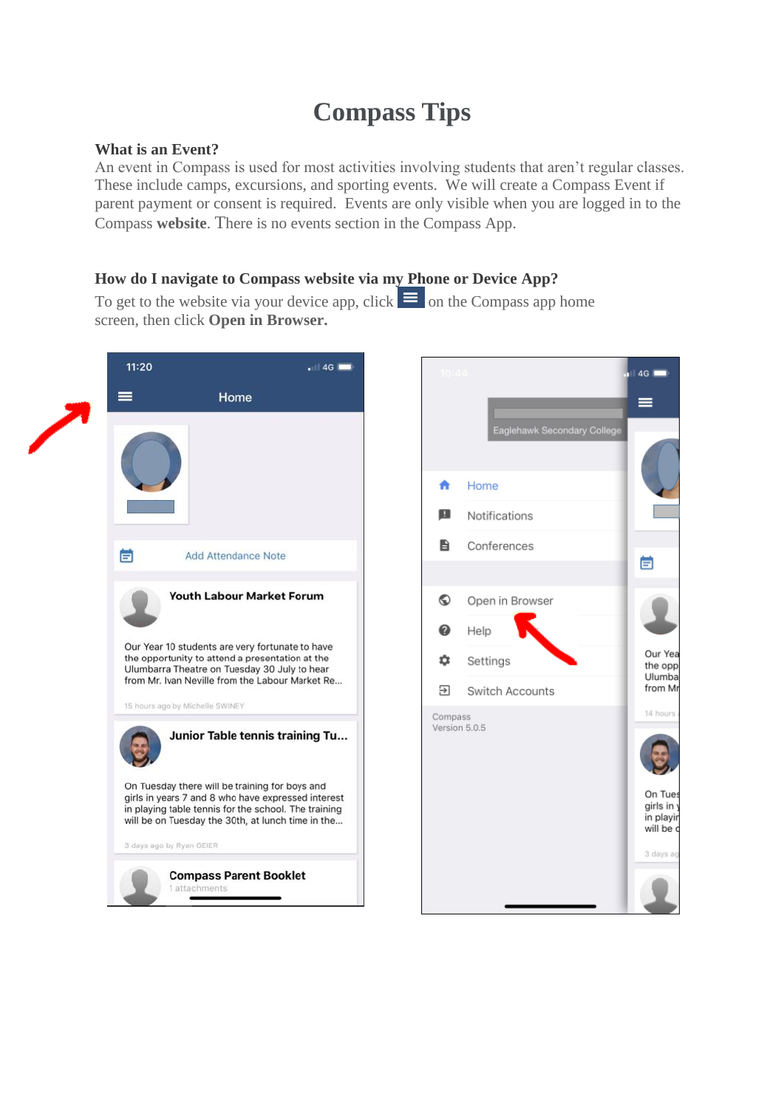## **Compass Tips**

## **What is an Event?**

An event in Compass is used for most activities involving students that aren't regular classes. These include camps, excursions, and sporting events. We will create a Compass Event if parent payment or consent is required. Events are only visible when you are logged in to the Compass **website**. There is no events section in the Compass App.

## **How do I navigate to Compass website via my Phone or Device App?**

To get to the website via your device app, click  $\equiv$  on the Compass app home screen, then click **Open in Browser.**

| 11:20<br>. 14G                                                                                                                                                                                                    | 10:44                                   | 4G <b>F</b>                                   |
|-------------------------------------------------------------------------------------------------------------------------------------------------------------------------------------------------------------------|-----------------------------------------|-----------------------------------------------|
| Home<br>≡                                                                                                                                                                                                         | Eaglehawk Secondary College             |                                               |
|                                                                                                                                                                                                                   | Home<br>A<br>ш<br>Notifications         |                                               |
| 萺<br><b>Add Attendance Note</b>                                                                                                                                                                                   | B<br>Conferences                        | 首                                             |
| Youth Labour Market Forum                                                                                                                                                                                         | $\odot$<br>Open in Browser<br>ℯ<br>Help |                                               |
| Our Year 10 students are very fortunate to have<br>the opportunity to attend a presentation at the<br>Ulumbarra Theatre on Tuesday 30 July to hear<br>from Mr. Ivan Neville from the Labour Market Re             | o<br>Settings<br>₽<br>Switch Accounts   | Our Yea<br>the opp<br>Ulumba<br>from Mr       |
| 15 hours ago by Michelle SWINEY<br>Junior Table tennis training Tu                                                                                                                                                | Compass<br>Version 5.0.5                | 14 hours                                      |
| On Tuesday there will be training for boys and<br>girls in years 7 and 8 who have expressed interest<br>in playing table tennis for the school. The training<br>will be on Tuesday the 30th, at lunch time in the |                                         | On Tues<br>girls in<br>in playir<br>will be c |
| 3 days ago by Ryan GEIER<br><b>Compass Parent Booklet</b><br>1 attachments                                                                                                                                        |                                         | 3 days ag                                     |